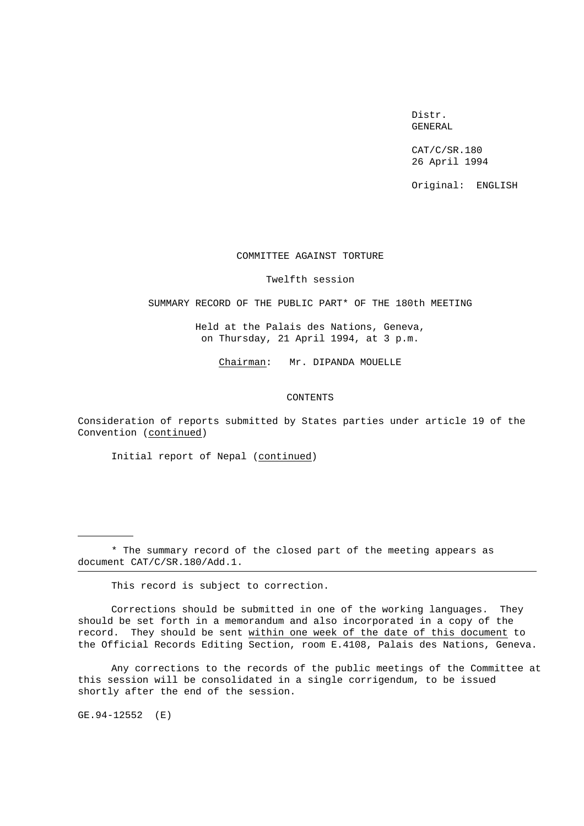Distr. GENERAL

CAT/C/SR.180 26 April 1994

Original: ENGLISH

# COMMITTEE AGAINST TORTURE

#### Twelfth session

SUMMARY RECORD OF THE PUBLIC PART\* OF THE 180th MEETING

Held at the Palais des Nations, Geneva, on Thursday, 21 April 1994, at 3 p.m.

Chairman: Mr. DIPANDA MOUELLE

### CONTENTS

Consideration of reports submitted by States parties under article 19 of the Convention (continued)

Initial report of Nepal (continued)

\* The summary record of the closed part of the meeting appears as document CAT/C/SR.180/Add.1.

This record is subject to correction.

Corrections should be submitted in one of the working languages. They should be set forth in a memorandum and also incorporated in a copy of the record. They should be sent within one week of the date of this document to the Official Records Editing Section, room E.4108, Palais des Nations, Geneva.

Any corrections to the records of the public meetings of the Committee at this session will be consolidated in a single corrigendum, to be issued shortly after the end of the session.

GE.94-12552 (E)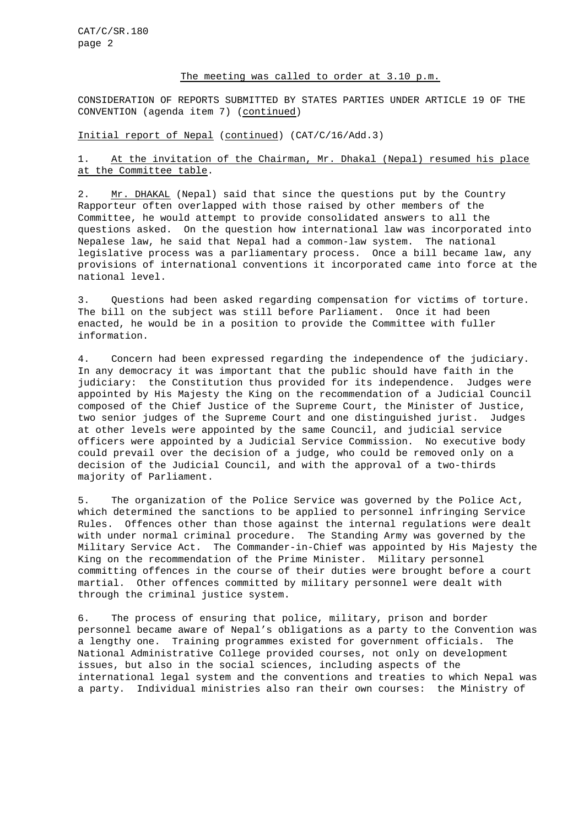### The meeting was called to order at 3.10 p.m.

CONSIDERATION OF REPORTS SUBMITTED BY STATES PARTIES UNDER ARTICLE 19 OF THE CONVENTION (agenda item 7) (continued)

# Initial report of Nepal (continued) (CAT/C/16/Add.3)

# 1. At the invitation of the Chairman, Mr. Dhakal (Nepal) resumed his place at the Committee table.

2. Mr. DHAKAL (Nepal) said that since the questions put by the Country Rapporteur often overlapped with those raised by other members of the Committee, he would attempt to provide consolidated answers to all the questions asked. On the question how international law was incorporated into Nepalese law, he said that Nepal had a common-law system. The national legislative process was a parliamentary process. Once a bill became law, any provisions of international conventions it incorporated came into force at the national level.

3. Questions had been asked regarding compensation for victims of torture. The bill on the subject was still before Parliament. Once it had been enacted, he would be in a position to provide the Committee with fuller information.

4. Concern had been expressed regarding the independence of the judiciary. In any democracy it was important that the public should have faith in the judiciary: the Constitution thus provided for its independence. Judges were appointed by His Majesty the King on the recommendation of a Judicial Council composed of the Chief Justice of the Supreme Court, the Minister of Justice, two senior judges of the Supreme Court and one distinguished jurist. Judges at other levels were appointed by the same Council, and judicial service officers were appointed by a Judicial Service Commission. No executive body could prevail over the decision of a judge, who could be removed only on a decision of the Judicial Council, and with the approval of a two-thirds majority of Parliament.

5. The organization of the Police Service was governed by the Police Act, which determined the sanctions to be applied to personnel infringing Service Rules. Offences other than those against the internal regulations were dealt with under normal criminal procedure. The Standing Army was governed by the Military Service Act. The Commander-in-Chief was appointed by His Majesty the King on the recommendation of the Prime Minister. Military personnel committing offences in the course of their duties were brought before a court martial. Other offences committed by military personnel were dealt with through the criminal justice system.

6. The process of ensuring that police, military, prison and border personnel became aware of Nepal's obligations as a party to the Convention was a lengthy one. Training programmes existed for government officials. The National Administrative College provided courses, not only on development issues, but also in the social sciences, including aspects of the international legal system and the conventions and treaties to which Nepal was a party. Individual ministries also ran their own courses: the Ministry of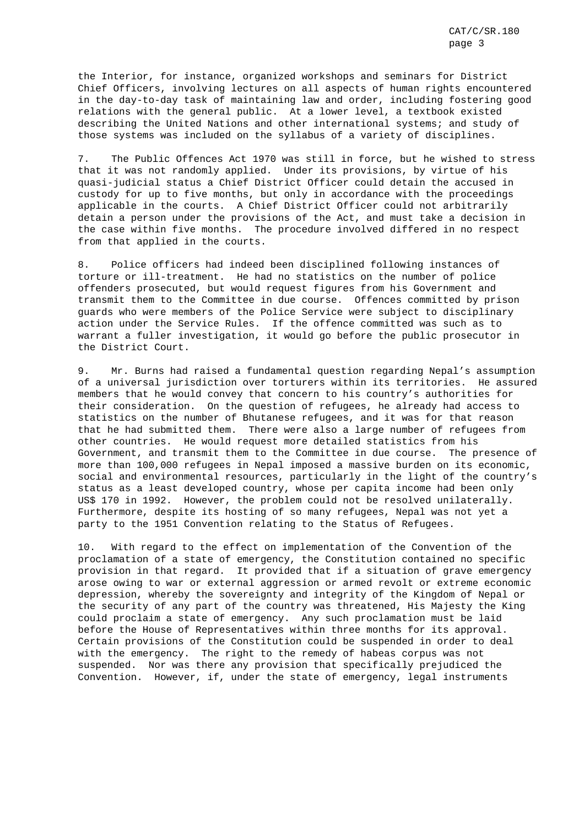the Interior, for instance, organized workshops and seminars for District Chief Officers, involving lectures on all aspects of human rights encountered in the day-to-day task of maintaining law and order, including fostering good relations with the general public. At a lower level, a textbook existed describing the United Nations and other international systems; and study of those systems was included on the syllabus of a variety of disciplines.

7. The Public Offences Act 1970 was still in force, but he wished to stress that it was not randomly applied. Under its provisions, by virtue of his quasi-judicial status a Chief District Officer could detain the accused in custody for up to five months, but only in accordance with the proceedings applicable in the courts. A Chief District Officer could not arbitrarily detain a person under the provisions of the Act, and must take a decision in the case within five months. The procedure involved differed in no respect from that applied in the courts.

8. Police officers had indeed been disciplined following instances of torture or ill-treatment. He had no statistics on the number of police offenders prosecuted, but would request figures from his Government and transmit them to the Committee in due course. Offences committed by prison guards who were members of the Police Service were subject to disciplinary action under the Service Rules. If the offence committed was such as to warrant a fuller investigation, it would go before the public prosecutor in the District Court.

9. Mr. Burns had raised a fundamental question regarding Nepal's assumption of a universal jurisdiction over torturers within its territories. He assured members that he would convey that concern to his country's authorities for their consideration. On the question of refugees, he already had access to statistics on the number of Bhutanese refugees, and it was for that reason that he had submitted them. There were also a large number of refugees from other countries. He would request more detailed statistics from his Government, and transmit them to the Committee in due course. The presence of more than 100,000 refugees in Nepal imposed a massive burden on its economic, social and environmental resources, particularly in the light of the country's status as a least developed country, whose per capita income had been only US\$ 170 in 1992. However, the problem could not be resolved unilaterally. Furthermore, despite its hosting of so many refugees, Nepal was not yet a party to the 1951 Convention relating to the Status of Refugees.

10. With regard to the effect on implementation of the Convention of the proclamation of a state of emergency, the Constitution contained no specific provision in that regard. It provided that if a situation of grave emergency arose owing to war or external aggression or armed revolt or extreme economic depression, whereby the sovereignty and integrity of the Kingdom of Nepal or the security of any part of the country was threatened, His Majesty the King could proclaim a state of emergency. Any such proclamation must be laid before the House of Representatives within three months for its approval. Certain provisions of the Constitution could be suspended in order to deal with the emergency. The right to the remedy of habeas corpus was not suspended. Nor was there any provision that specifically prejudiced the Convention. However, if, under the state of emergency, legal instruments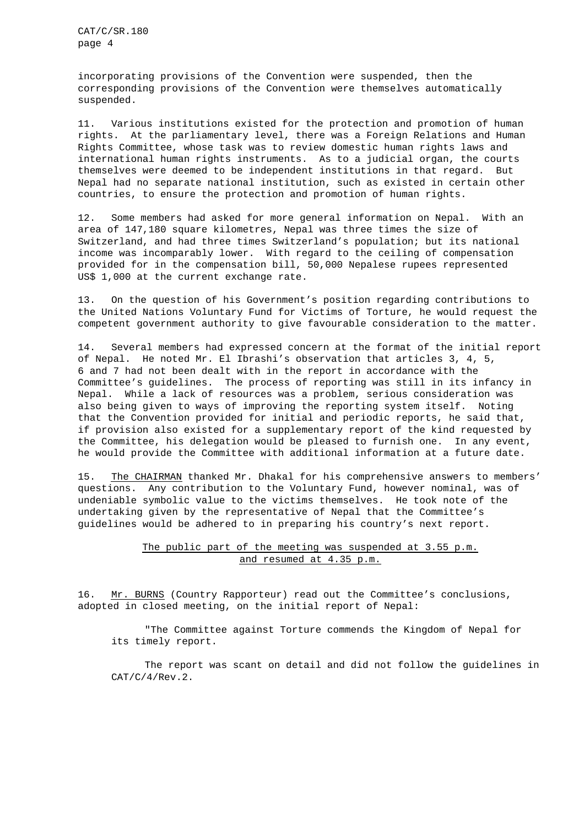incorporating provisions of the Convention were suspended, then the corresponding provisions of the Convention were themselves automatically suspended.

11. Various institutions existed for the protection and promotion of human rights. At the parliamentary level, there was a Foreign Relations and Human Rights Committee, whose task was to review domestic human rights laws and international human rights instruments. As to a judicial organ, the courts themselves were deemed to be independent institutions in that regard. But Nepal had no separate national institution, such as existed in certain other countries, to ensure the protection and promotion of human rights.

12. Some members had asked for more general information on Nepal. With an area of 147,180 square kilometres, Nepal was three times the size of Switzerland, and had three times Switzerland's population; but its national income was incomparably lower. With regard to the ceiling of compensation provided for in the compensation bill, 50,000 Nepalese rupees represented US\$ 1,000 at the current exchange rate.

13. On the question of his Government's position regarding contributions to the United Nations Voluntary Fund for Victims of Torture, he would request the competent government authority to give favourable consideration to the matter.

14. Several members had expressed concern at the format of the initial report of Nepal. He noted Mr. El Ibrashi's observation that articles 3, 4, 5, 6 and 7 had not been dealt with in the report in accordance with the Committee's guidelines. The process of reporting was still in its infancy in Nepal. While a lack of resources was a problem, serious consideration was also being given to ways of improving the reporting system itself. Noting that the Convention provided for initial and periodic reports, he said that, if provision also existed for a supplementary report of the kind requested by the Committee, his delegation would be pleased to furnish one. In any event, he would provide the Committee with additional information at a future date.

15. The CHAIRMAN thanked Mr. Dhakal for his comprehensive answers to members' questions. Any contribution to the Voluntary Fund, however nominal, was of undeniable symbolic value to the victims themselves. He took note of the undertaking given by the representative of Nepal that the Committee's guidelines would be adhered to in preparing his country's next report.

# The public part of the meeting was suspended at 3.55 p.m. and resumed at 4.35 p.m.

16. Mr. BURNS (Country Rapporteur) read out the Committee's conclusions, adopted in closed meeting, on the initial report of Nepal:

"The Committee against Torture commends the Kingdom of Nepal for its timely report.

The report was scant on detail and did not follow the guidelines in CAT/C/4/Rev.2.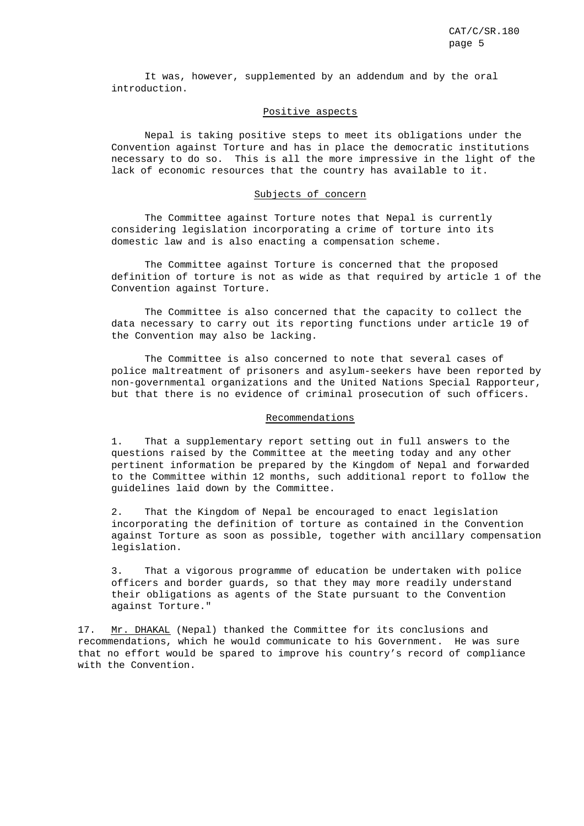It was, however, supplemented by an addendum and by the oral introduction.

# Positive aspects

Nepal is taking positive steps to meet its obligations under the Convention against Torture and has in place the democratic institutions necessary to do so. This is all the more impressive in the light of the lack of economic resources that the country has available to it.

#### Subjects of concern

The Committee against Torture notes that Nepal is currently considering legislation incorporating a crime of torture into its domestic law and is also enacting a compensation scheme.

The Committee against Torture is concerned that the proposed definition of torture is not as wide as that required by article 1 of the Convention against Torture.

The Committee is also concerned that the capacity to collect the data necessary to carry out its reporting functions under article 19 of the Convention may also be lacking.

The Committee is also concerned to note that several cases of police maltreatment of prisoners and asylum-seekers have been reported by non-governmental organizations and the United Nations Special Rapporteur, but that there is no evidence of criminal prosecution of such officers.

### Recommendations

1. That a supplementary report setting out in full answers to the questions raised by the Committee at the meeting today and any other pertinent information be prepared by the Kingdom of Nepal and forwarded to the Committee within 12 months, such additional report to follow the guidelines laid down by the Committee.

2. That the Kingdom of Nepal be encouraged to enact legislation incorporating the definition of torture as contained in the Convention against Torture as soon as possible, together with ancillary compensation legislation.

3. That a vigorous programme of education be undertaken with police officers and border guards, so that they may more readily understand their obligations as agents of the State pursuant to the Convention against Torture."

17. Mr. DHAKAL (Nepal) thanked the Committee for its conclusions and recommendations, which he would communicate to his Government. He was sure that no effort would be spared to improve his country's record of compliance with the Convention.